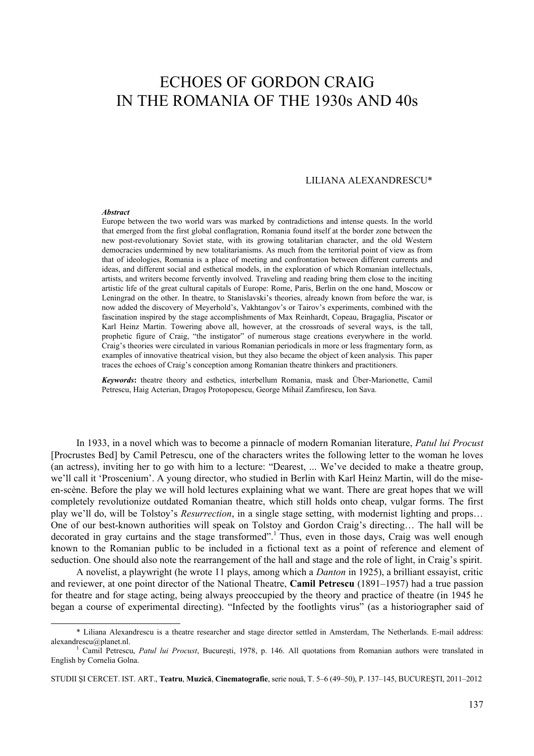## ECHOES OF GORDON CRAIG IN THE ROMANIA OF THE 1930s AND 40s

## LILIANA ALEXANDRESCU\*

## *Abstract*

l

Europe between the two world wars was marked by contradictions and intense quests. In the world that emerged from the first global conflagration, Romania found itself at the border zone between the new post-revolutionary Soviet state, with its growing totalitarian character, and the old Western democracies undermined by new totalitarianisms. As much from the territorial point of view as from that of ideologies, Romania is a place of meeting and confrontation between different currents and ideas, and different social and esthetical models, in the exploration of which Romanian intellectuals, artists, and writers become fervently involved. Traveling and reading bring them close to the inciting artistic life of the great cultural capitals of Europe: Rome, Paris, Berlin on the one hand, Moscow or Leningrad on the other. In theatre, to Stanislavski's theories, already known from before the war, is now added the discovery of Meyerhold's, Vakhtangov's or Tairov's experiments, combined with the fascination inspired by the stage accomplishments of Max Reinhardt, Copeau, Bragaglia, Piscator or Karl Heinz Martin. Towering above all, however, at the crossroads of several ways, is the tall, prophetic figure of Craig, "the instigator" of numerous stage creations everywhere in the world. Craig's theories were circulated in various Romanian periodicals in more or less fragmentary form, as examples of innovative theatrical vision, but they also became the object of keen analysis. This paper traces the echoes of Craig's conception among Romanian theatre thinkers and practitioners.

*Keywords***:** theatre theory and esthetics, interbellum Romania, mask and Über-Marionette, Camil Petrescu, Haig Acterian, Dragoş Protopopescu, George Mihail Zamfirescu, Ion Sava.

In 1933, in a novel which was to become a pinnacle of modern Romanian literature, *Patul lui Procust* [Procrustes Bed] by Camil Petrescu, one of the characters writes the following letter to the woman he loves (an actress), inviting her to go with him to a lecture: "Dearest, ... We've decided to make a theatre group, we'll call it 'Proscenium'. A young director, who studied in Berlin with Karl Heinz Martin, will do the miseen-scène. Before the play we will hold lectures explaining what we want. There are great hopes that we will completely revolutionize outdated Romanian theatre, which still holds onto cheap, vulgar forms. The first play we'll do, will be Tolstoy's *Resurrection*, in a single stage setting, with modernist lighting and props… One of our best-known authorities will speak on Tolstoy and Gordon Craig's directing… The hall will be decorated in gray curtains and the stage transformed".<sup>1</sup> Thus, even in those days, Craig was well enough known to the Romanian public to be included in a fictional text as a point of reference and element of seduction. One should also note the rearrangement of the hall and stage and the role of light, in Craig's spirit.

A novelist, a playwright (he wrote 11 plays, among which a *Danton* in 1925), a brilliant essayist, critic and reviewer, at one point director of the National Theatre, **Camil Petrescu** (1891–1957) had a true passion for theatre and for stage acting, being always preoccupied by the theory and practice of theatre (in 1945 he began a course of experimental directing). "Infected by the footlights virus" (as a historiographer said of

<sup>\*</sup> Liliana Alexandrescu is a theatre researcher and stage director settled in Amsterdam, The Netherlands. E-mail address: alexandrescu@planet.nl.

Camil Petrescu, *Patul lui Procust*, Bucureşti, 1978, p. 146. All quotations from Romanian authors were translated in English by Cornelia Golna.

STUDII ŞI CERCET. IST. ART., **Teatru**, **Muzică**, **Cinematografie**, serie nouă, T. 5–6 (49–50), P. 137–145, BUCUREŞTI, 2011–2012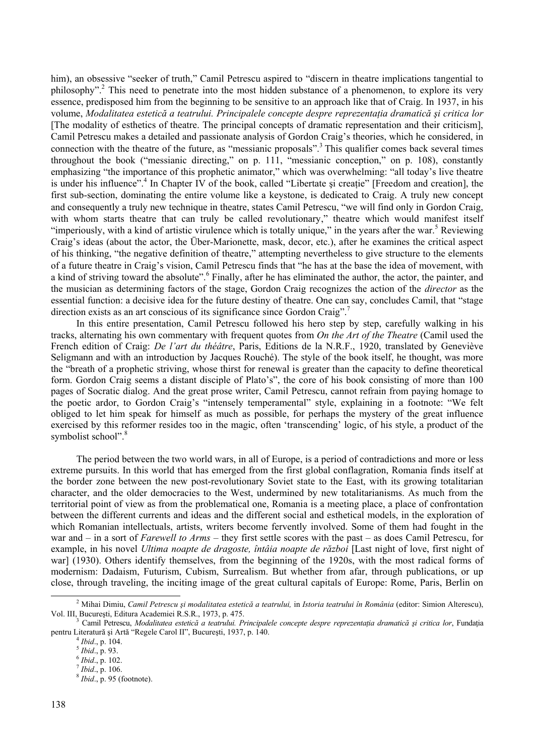him), an obsessive "seeker of truth," Camil Petrescu aspired to "discern in theatre implications tangential to philosophy".<sup>2</sup> This need to penetrate into the most hidden substance of a phenomenon, to explore its very essence, predisposed him from the beginning to be sensitive to an approach like that of Craig. In 1937, in his volume, *Modalitatea estetică a teatrului. Principalele concepte despre reprezentaţia dramatică şi critica lor* [The modality of esthetics of theatre. The principal concepts of dramatic representation and their criticism], Camil Petrescu makes a detailed and passionate analysis of Gordon Craig's theories, which he considered, in connection with the theatre of the future, as "messianic proposals".<sup>3</sup> This qualifier comes back several times throughout the book ("messianic directing," on p. 111, "messianic conception," on p. 108), constantly emphasizing "the importance of this prophetic animator," which was overwhelming: "all today's live theatre is under his influence".<sup>4</sup> In Chapter IV of the book, called "Libertate și creație" [Freedom and creation], the first sub-section, dominating the entire volume like a keystone, is dedicated to Craig. A truly new concept and consequently a truly new technique in theatre, states Camil Petrescu, "we will find only in Gordon Craig, with whom starts theatre that can truly be called revolutionary," theatre which would manifest itself "imperiously, with a kind of artistic virulence which is totally unique," in the years after the war.<sup>5</sup> Reviewing Craig's ideas (about the actor, the Über-Marionette, mask, decor, etc.), after he examines the critical aspect of his thinking, "the negative definition of theatre," attempting nevertheless to give structure to the elements of a future theatre in Craig's vision, Camil Petrescu finds that "he has at the base the idea of movement, with a kind of striving toward the absolute". <sup>6</sup> Finally, after he has eliminated the author, the actor, the painter, and the musician as determining factors of the stage, Gordon Craig recognizes the action of the *director* as the essential function: a decisive idea for the future destiny of theatre. One can say, concludes Camil, that "stage direction exists as an art conscious of its significance since Gordon Craig".<sup>7</sup>

In this entire presentation, Camil Petrescu followed his hero step by step, carefully walking in his tracks, alternating his own commentary with frequent quotes from *On the Art of the Theatre* (Camil used the French edition of Craig: *De l'art du théâtre*, Paris, Editions de la N.R.F., 1920, translated by Geneviève Seligmann and with an introduction by Jacques Rouché). The style of the book itself, he thought, was more the "breath of a prophetic striving, whose thirst for renewal is greater than the capacity to define theoretical form. Gordon Craig seems a distant disciple of Plato's", the core of his book consisting of more than 100 pages of Socratic dialog. And the great prose writer, Camil Petrescu, cannot refrain from paying homage to the poetic ardor, to Gordon Craig's "intensely temperamental" style, explaining in a footnote: "We felt obliged to let him speak for himself as much as possible, for perhaps the mystery of the great influence exercised by this reformer resides too in the magic, often 'transcending' logic, of his style, a product of the symbolist school".<sup>8</sup>

The period between the two world wars, in all of Europe, is a period of contradictions and more or less extreme pursuits. In this world that has emerged from the first global conflagration, Romania finds itself at the border zone between the new post-revolutionary Soviet state to the East, with its growing totalitarian character, and the older democracies to the West, undermined by new totalitarianisms. As much from the territorial point of view as from the problematical one, Romania is a meeting place, a place of confrontation between the different currents and ideas and the different social and esthetical models, in the exploration of which Romanian intellectuals, artists, writers become fervently involved. Some of them had fought in the war and – in a sort of *Farewell to Arms* – they first settle scores with the past – as does Camil Petrescu, for example, in his novel *Ultima noapte de dragoste, întâia noapte de război* [Last night of love, first night of war] (1930). Others identify themselves, from the beginning of the 1920s, with the most radical forms of modernism: Dadaism, Futurism, Cubism, Surrealism. But whether from afar, through publications, or up close, through traveling, the inciting image of the great cultural capitals of Europe: Rome, Paris, Berlin on

 $\overline{2}$  Mihai Dimiu, *Camil Petrescu şi modalitatea estetică a teatrului,* in *Istoria teatrului în România* (editor: Simion Alterescu), Vol. III, București, Editura Academiei R.S.R., 1973, p. 475.

Camil Petrescu, *Modalitatea estetică a teatrului. Principalele concepte despre reprezentatia dramatică și critica lor*, Fundația pentru Literatură și Artă "Regele Carol II", București, 1937, p. 140.<br>
<sup>4</sup> *Ibid.*, p. 104.<br>
<sup>5</sup> *Ibid.*, p. 93.<br>
<sup>6</sup> *Ibid.*, p. 102.<br>
<sup>7</sup> *Ibid.*, p. 106.<br>
<sup>8</sup> *Ibid.*, p. 95 (footnote).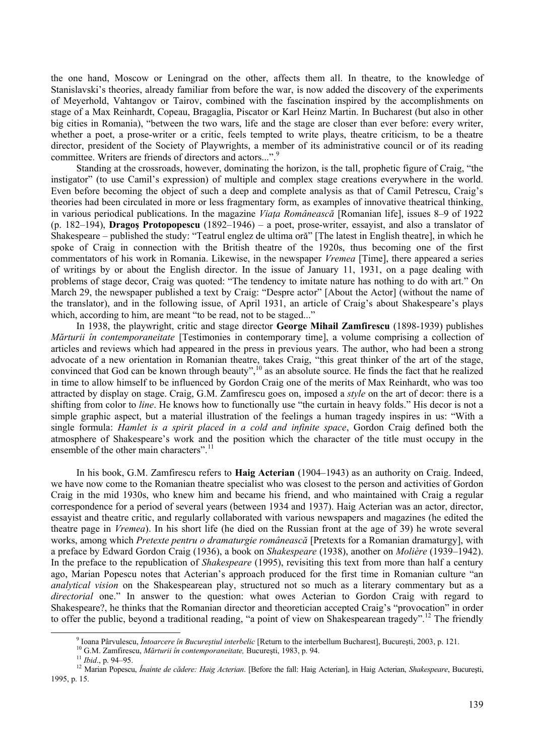the one hand, Moscow or Leningrad on the other, affects them all. In theatre, to the knowledge of Stanislavski's theories, already familiar from before the war, is now added the discovery of the experiments of Meyerhold, Vahtangov or Tairov, combined with the fascination inspired by the accomplishments on stage of a Max Reinhardt, Copeau, Bragaglia, Piscator or Karl Heinz Martin. In Bucharest (but also in other big cities in Romania), "between the two wars, life and the stage are closer than ever before: every writer, whether a poet, a prose-writer or a critic, feels tempted to write plays, theatre criticism, to be a theatre director, president of the Society of Playwrights, a member of its administrative council or of its reading committee. Writers are friends of directors and actors...".<sup>9</sup>

Standing at the crossroads, however, dominating the horizon, is the tall, prophetic figure of Craig, "the instigator" (to use Camil's expression) of multiple and complex stage creations everywhere in the world. Even before becoming the object of such a deep and complete analysis as that of Camil Petrescu, Craig's theories had been circulated in more or less fragmentary form, as examples of innovative theatrical thinking, in various periodical publications. In the magazine *Viaţa Românească* [Romanian life], issues 8–9 of 1922 (p. 182–194), **Dragoş Protopopescu** (1892–1946) – a poet, prose-writer, essayist, and also a translator of Shakespeare – published the study: "Teatrul englez de ultima oră" [The latest in English theatre], in which he spoke of Craig in connection with the British theatre of the 1920s, thus becoming one of the first commentators of his work in Romania. Likewise, in the newspaper *Vremea* [Time], there appeared a series of writings by or about the English director. In the issue of January 11, 1931, on a page dealing with problems of stage decor, Craig was quoted: "The tendency to imitate nature has nothing to do with art." On March 29, the newspaper published a text by Craig: "Despre actor" [About the Actor] (without the name of the translator), and in the following issue, of April 1931, an article of Craig's about Shakespeare's plays which, according to him, are meant "to be read, not to be staged..."

In 1938, the playwright, critic and stage director **George Mihail Zamfirescu** (1898-1939) publishes *Mărturii în contemporaneitate* [Testimonies in contemporary time], a volume comprising a collection of articles and reviews which had appeared in the press in previous years. The author, who had been a strong advocate of a new orientation in Romanian theatre, takes Craig, "this great thinker of the art of the stage, convinced that God can be known through beauty",<sup>10</sup> as an absolute source. He finds the fact that he realized in time to allow himself to be influenced by Gordon Craig one of the merits of Max Reinhardt, who was too attracted by display on stage. Craig, G.M. Zamfirescu goes on, imposed a *style* on the art of decor: there is a shifting from color to *line*. He knows how to functionally use "the curtain in heavy folds." His decor is not a simple graphic aspect, but a material illustration of the feelings a human tragedy inspires in us: "With a single formula: *Hamlet is a spirit placed in a cold and infinite space*, Gordon Craig defined both the atmosphere of Shakespeare's work and the position which the character of the title must occupy in the ensemble of the other main characters".<sup>11</sup>

In his book, G.M. Zamfirescu refers to **Haig Acterian** (1904–1943) as an authority on Craig. Indeed, we have now come to the Romanian theatre specialist who was closest to the person and activities of Gordon Craig in the mid 1930s, who knew him and became his friend, and who maintained with Craig a regular correspondence for a period of several years (between 1934 and 1937). Haig Acterian was an actor, director, essayist and theatre critic, and regularly collaborated with various newspapers and magazines (he edited the theatre page in *Vremea*). In his short life (he died on the Russian front at the age of 39) he wrote several works, among which *Pretexte pentru o dramaturgie românească* [Pretexts for a Romanian dramaturgy], with a preface by Edward Gordon Craig (1936), a book on *Shakespeare* (1938), another on *Molière* (1939–1942). In the preface to the republication of *Shakespeare* (1995), revisiting this text from more than half a century ago, Marian Popescu notes that Acterian's approach produced for the first time in Romanian culture "an *analytical vision* on the Shakespearean play, structured not so much as a literary commentary but as a *directorial* one." In answer to the question: what owes Acterian to Gordon Craig with regard to Shakespeare?, he thinks that the Romanian director and theoretician accepted Craig's "provocation" in order to offer the public, beyond a traditional reading, "a point of view on Shakespearean tragedy".12 The friendly

 $\frac{1}{9}$ 

<sup>&</sup>lt;sup>9</sup> Ioana Pârvulescu, *Întoarcere în Bucureștiul interbelic* [Return to the interbellum Bucharest], București, 2003, p. 121.<br><sup>10</sup> G.M. Zamfirescu, *Mărturii în contemporaneitate*, București, 1983, p. 94.<br><sup>11</sup> Ibid., p. 94 1995, p. 15.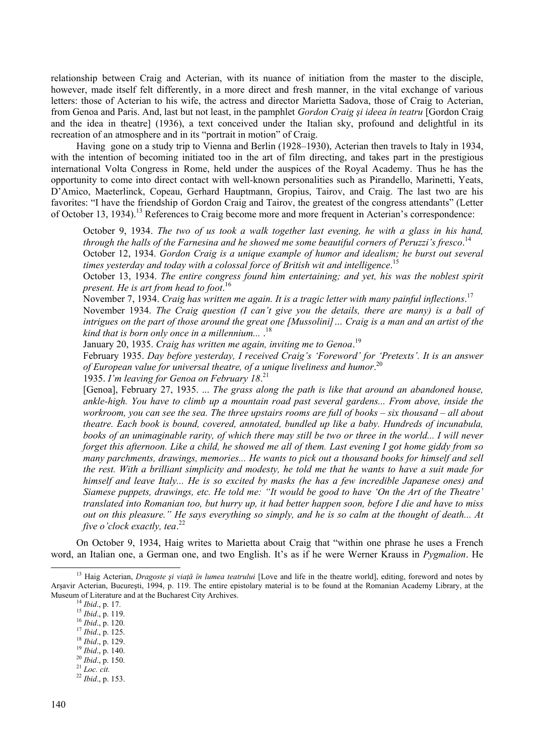relationship between Craig and Acterian, with its nuance of initiation from the master to the disciple, however, made itself felt differently, in a more direct and fresh manner, in the vital exchange of various letters: those of Acterian to his wife, the actress and director Marietta Sadova, those of Craig to Acterian, from Genoa and Paris. And, last but not least, in the pamphlet *Gordon Craig şi ideea în teatru* [Gordon Craig and the idea in theatre] (1936), a text conceived under the Italian sky, profound and delightful in its recreation of an atmosphere and in its "portrait in motion" of Craig.

Having gone on a study trip to Vienna and Berlin (1928–1930), Acterian then travels to Italy in 1934, with the intention of becoming initiated too in the art of film directing, and takes part in the prestigious international Volta Congress in Rome, held under the auspices of the Royal Academy. Thus he has the opportunity to come into direct contact with well-known personalities such as Pirandello, Marinetti, Yeats, D'Amico, Maeterlinck, Copeau, Gerhard Hauptmann, Gropius, Tairov, and Craig. The last two are his favorites: "I have the friendship of Gordon Craig and Tairov, the greatest of the congress attendants" (Letter of October 13, 1934).13 References to Craig become more and more frequent in Acterian's correspondence:

October 9, 1934. *The two of us took a walk together last evening, he with a glass in his hand, through the halls of the Farnesina and he showed me some beautiful corners of Peruzzi's fresco*. 14

October 12, 1934. *Gordon Craig is a unique example of humor and idealism; he burst out several times yesterday and today with a colossal force of British wit and intelligence*. 15

October 13, 1934. *The entire congress found him entertaining; and yet, his was the noblest spirit present. He is art from head to foot*. 16

November 7, 1934. *Craig has written me again. It is a tragic letter with many painful inflections*. 17 November 1934. *The Craig question (I can't give you the details, there are many) is a ball of intrigues on the part of those around the great one [Mussolini]… Craig is a man and an artist of the kind that is born only once in a millennium...* . 18

January 20, 1935. *Craig has written me again, inviting me to Genoa*. 19

February 1935. *Day before yesterday, I received Craig's 'Foreword' for 'Pretexts'. It is an answer of European value for universal theatre, of a unique liveliness and humor*. 20

1935. *I'm leaving for Genoa on February 18*. 21

[Genoa], February 27, 1935. ... *The grass along the path is like that around an abandoned house, ankle-high. You have to climb up a mountain road past several gardens... From above, inside the workroom, you can see the sea. The three upstairs rooms are full of books – six thousand – all about theatre. Each book is bound, covered, annotated, bundled up like a baby. Hundreds of incunabula, books of an unimaginable rarity, of which there may still be two or three in the world... I will never forget this afternoon. Like a child, he showed me all of them. Last evening I got home giddy from so many parchments, drawings, memories... He wants to pick out a thousand books for himself and sell the rest. With a brilliant simplicity and modesty, he told me that he wants to have a suit made for himself and leave Italy... He is so excited by masks (he has a few incredible Japanese ones) and Siamese puppets, drawings, etc. He told me: "It would be good to have 'On the Art of the Theatre' translated into Romanian too, but hurry up, it had better happen soon, before I die and have to miss out on this pleasure." He says everything so simply, and he is so calm at the thought of death... At five o'clock exactly, tea*. 22

On October 9, 1934, Haig writes to Marietta about Craig that "within one phrase he uses a French word, an Italian one, a German one, and two English. It's as if he were Werner Krauss in *Pygmalion*. He

- 
- 
- 
- 

<sup>&</sup>lt;sup>13</sup> Haig Acterian, *Dragoste și viată în lumea teatrului* [Love and life in the theatre world], editing, foreword and notes by Arşavir Acterian, Bucureşti, 1994, p. 119. The entire epistolary material is to be found at the Romanian Academy Library, at the Museum of Literature and at the Bucharest City Archives.<br>
<sup>14</sup> *Ibid.*, p. 17.<br>
<sup>15</sup> *Ibid.*, p. 119.<br>
<sup>16</sup> *Ibid.*, p. 120.<br>
<sup>17</sup> *Ibid.*, p. 125.<br>
<sup>18</sup> *Ibid.*, p. 129.<br>
<sup>19</sup> *Ibid.*, p. 140.<br>
<sup>20</sup> *Ibid.*, p. 150.<br>
<sup>21</sup>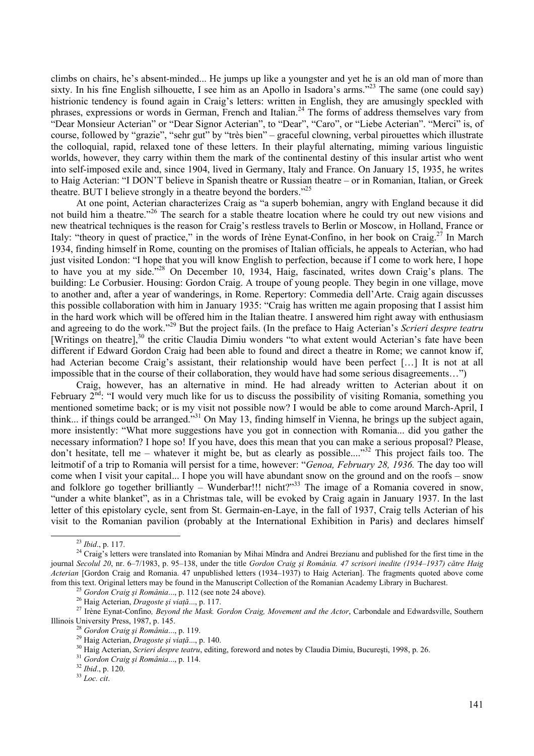climbs on chairs, he's absent-minded... He jumps up like a youngster and yet he is an old man of more than sixty. In his fine English silhouette, I see him as an Apollo in Isadora's arms."<sup>23</sup> The same (one could say) histrionic tendency is found again in Craig's letters: written in English, they are amusingly speckled with phrases, expressions or words in German, French and Italian.<sup>24</sup> The forms of address themselves vary from "Dear Monsieur Acterian" or "Dear Signor Acterian", to "Dear", "Caro", or "Liebe Acterian". "Merci" is, of course, followed by "grazie", "sehr gut" by "très bien" – graceful clowning, verbal pirouettes which illustrate the colloquial, rapid, relaxed tone of these letters. In their playful alternating, miming various linguistic worlds, however, they carry within them the mark of the continental destiny of this insular artist who went into self-imposed exile and, since 1904, lived in Germany, Italy and France. On January 15, 1935, he writes to Haig Acterian: "I DON'T believe in Spanish theatre or Russian theatre – or in Romanian, Italian, or Greek theatre. BUT I believe strongly in a theatre beyond the borders."25

At one point, Acterian characterizes Craig as "a superb bohemian, angry with England because it did not build him a theatre."<sup>26</sup> The search for a stable theatre location where he could try out new visions and new theatrical techniques is the reason for Craig's restless travels to Berlin or Moscow, in Holland, France or Italy: "theory in quest of practice," in the words of Irène Eynat-Confino, in her book on Craig.<sup>27</sup> In March 1934, finding himself in Rome, counting on the promises of Italian officials, he appeals to Acterian, who had just visited London: "I hope that you will know English to perfection, because if I come to work here, I hope to have you at my side.<sup>328</sup> On December 10, 1934, Haig, fascinated, writes down Craig's plans. The building: Le Corbusier. Housing: Gordon Craig. A troupe of young people. They begin in one village, move to another and, after a year of wanderings, in Rome. Repertory: Commedia dell'Arte. Craig again discusses this possible collaboration with him in January 1935: "Craig has written me again proposing that I assist him in the hard work which will be offered him in the Italian theatre. I answered him right away with enthusiasm and agreeing to do the work."29 But the project fails. (In the preface to Haig Acterian's *Scrieri despre teatru*  [Writings on theatre],<sup>30</sup> the critic Claudia Dimiu wonders "to what extent would Acterian's fate have been different if Edward Gordon Craig had been able to found and direct a theatre in Rome; we cannot know if, had Acterian become Craig's assistant, their relationship would have been perfect [...] It is not at all impossible that in the course of their collaboration, they would have had some serious disagreements…")

Craig, however, has an alternative in mind. He had already written to Acterian about it on February  $2<sup>nd</sup>$ : "I would very much like for us to discuss the possibility of visiting Romania, something you mentioned sometime back; or is my visit not possible now? I would be able to come around March-April, I think... if things could be arranged."31 On May 13, finding himself in Vienna, he brings up the subject again, more insistently: "What more suggestions have you got in connection with Romania... did you gather the necessary information? I hope so! If you have, does this mean that you can make a serious proposal? Please, don't hesitate, tell me – whatever it might be, but as clearly as possible...."<sup>32</sup> This project fails too. The leitmotif of a trip to Romania will persist for a time, however: "*Genoa, February 28, 1936.* The day too will come when I visit your capital... I hope you will have abundant snow on the ground and on the roofs – snow and folklore go together brilliantly – Wunderbar!!! nicht?"<sup>33</sup> The image of a Romania covered in snow, "under a white blanket", as in a Christmas tale, will be evoked by Craig again in January 1937. In the last letter of this epistolary cycle, sent from St. Germain-en-Laye, in the fall of 1937, Craig tells Acterian of his visit to the Romanian pavilion (probably at the International Exhibition in Paris) and declares himself

<sup>&</sup>lt;sup>23</sup> *Ibid.*, p. 117.<br><sup>24</sup> Craig's letters were translated into Romanian by Mihai Mîndra and Andrei Brezianu and published for the first time in the journal *Secolul 20*, nr. 6–7/1983, p. 95–138, under the title *Gordon Craig şi România. 47 scrisori inedite (1934–1937) către Haig Acterian* [Gordon Craig and Romania. 47 unpublished letters (1934–1937) to Haig Acterian]. The fragments quoted above come from this text. Original letters may be found in the Manuscript Collection of the Romanian Academy

<sup>&</sup>lt;sup>25</sup> Gordon Craig și România..., p. 112 (see note 24 above).<br><sup>26</sup> Haig Acterian, *Dragoste și viață..., p. 117.*<br><sup>27</sup> Irène Eynat-Confino, *Beyond the Mask. Gordon Craig, Movement and the Actor*, Carbondale and Edwardsvil Illinois University Press, 1987, p. 145.<br><sup>28</sup> Gordon Craig și România..., p. 119.<br><sup>29</sup> Haig Acterian, *Dragoste și viață...*, p. 140.<br><sup>30</sup> Haig Acterian, *Scrieri despre teatru*, editing, foreword and notes by Claudia Dim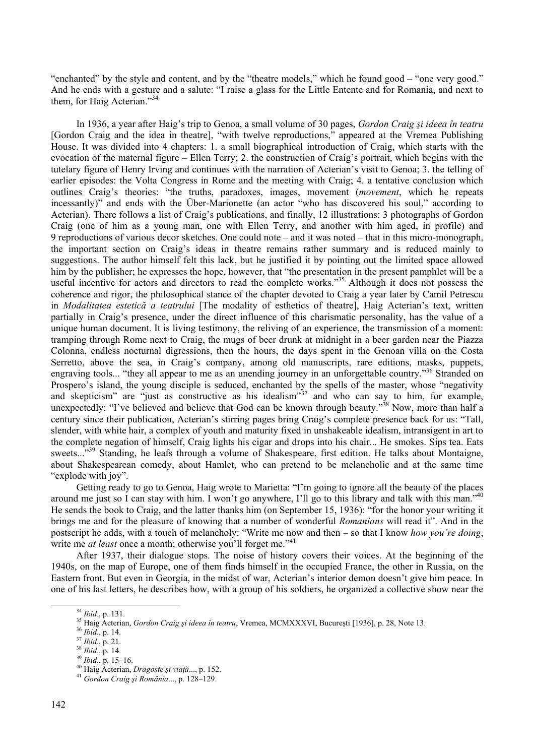"enchanted" by the style and content, and by the "theatre models," which he found good – "one very good." And he ends with a gesture and a salute: "I raise a glass for the Little Entente and for Romania, and next to them, for Haig Acterian."<sup>34</sup>

In 1936, a year after Haig's trip to Genoa, a small volume of 30 pages, *Gordon Craig şi ideea în teatru* [Gordon Craig and the idea in theatre], "with twelve reproductions," appeared at the Vremea Publishing House. It was divided into 4 chapters: 1. a small biographical introduction of Craig, which starts with the evocation of the maternal figure – Ellen Terry; 2. the construction of Craig's portrait, which begins with the tutelary figure of Henry Irving and continues with the narration of Acterian's visit to Genoa; 3. the telling of earlier episodes: the Volta Congress in Rome and the meeting with Craig; 4. a tentative conclusion which outlines Craig's theories: "the truths, paradoxes, images, movement (*movement*, which he repeats incessantly)" and ends with the Über-Marionette (an actor "who has discovered his soul," according to Acterian). There follows a list of Craig's publications, and finally, 12 illustrations: 3 photographs of Gordon Craig (one of him as a young man, one with Ellen Terry, and another with him aged, in profile) and 9 reproductions of various decor sketches. One could note – and it was noted – that in this micro-monograph, the important section on Craig's ideas in theatre remains rather summary and is reduced mainly to suggestions. The author himself felt this lack, but he justified it by pointing out the limited space allowed him by the publisher; he expresses the hope, however, that "the presentation in the present pamphlet will be a useful incentive for actors and directors to read the complete works."<sup>35</sup> Although it does not possess the coherence and rigor, the philosophical stance of the chapter devoted to Craig a year later by Camil Petrescu in *Modalitatea estetică a teatrului* [The modality of esthetics of theatre], Haig Acterian's text, written partially in Craig's presence, under the direct influence of this charismatic personality, has the value of a unique human document. It is living testimony, the reliving of an experience, the transmission of a moment: tramping through Rome next to Craig, the mugs of beer drunk at midnight in a beer garden near the Piazza Colonna, endless nocturnal digressions, then the hours, the days spent in the Genoan villa on the Costa Serretto, above the sea, in Craig's company, among old manuscripts, rare editions, masks, puppets, engraving tools... "they all appear to me as an unending journey in an unforgettable country."<sup>36</sup> Stranded on Prospero's island, the young disciple is seduced, enchanted by the spells of the master, whose "negativity and skepticism" are "just as constructive as his idealism"<sup>37</sup> and who can say to him, for example, unexpectedly: "I've believed and believe that God can be known through beauty."<sup>38</sup> Now, more than half a century since their publication, Acterian's stirring pages bring Craig's complete presence back for us: "Tall, slender, with white hair, a complex of youth and maturity fixed in unshakeable idealism, intransigent in art to the complete negation of himself, Craig lights his cigar and drops into his chair... He smokes. Sips tea. Eats sweets...<sup>"39</sup> Standing, he leafs through a volume of Shakespeare, first edition. He talks about Montaigne, about Shakespearean comedy, about Hamlet, who can pretend to be melancholic and at the same time "explode with joy".

Getting ready to go to Genoa, Haig wrote to Marietta: "I'm going to ignore all the beauty of the places around me just so I can stay with him. I won't go anywhere, I'll go to this library and talk with this man."<sup>40</sup> He sends the book to Craig, and the latter thanks him (on September 15, 1936): "for the honor your writing it brings me and for the pleasure of knowing that a number of wonderful *Romanians* will read it". And in the postscript he adds, with a touch of melancholy: "Write me now and then – so that I know *how you're doing*, write me *at least* once a month; otherwise you'll forget me."<sup>41</sup>

After 1937, their dialogue stops. The noise of history covers their voices. At the beginning of the 1940s, on the map of Europe, one of them finds himself in the occupied France, the other in Russia, on the Eastern front. But even in Georgia, in the midst of war, Acterian's interior demon doesn't give him peace. In one of his last letters, he describes how, with a group of his soldiers, he organized a collective show near the

<sup>&</sup>lt;sup>34</sup> Ibid., p. 131.<br><sup>35</sup> Haig Acterian, *Gordon Craig și ideea în teatru*, Vremea, MCMXXXVI, București [1936], p. 28, Note 13.<br><sup>36</sup> Ibid., p. 14.<br><sup>37</sup> Ibid., p. 14.<br><sup>38</sup> Ibid., p. 15–16.<br><sup>40</sup> Haig Acterian, *Dragoste și vi*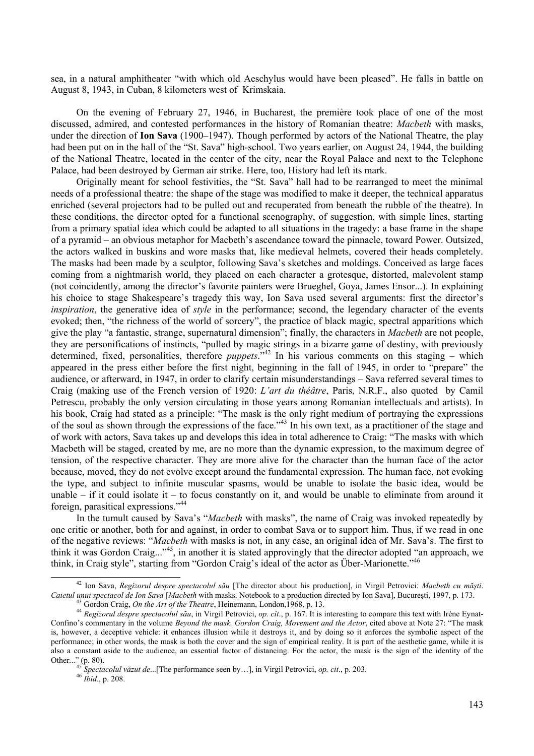sea, in a natural amphitheater "with which old Aeschylus would have been pleased". He falls in battle on August 8, 1943, in Cuban, 8 kilometers west of Krimskaia.

On the evening of February 27, 1946, in Bucharest, the première took place of one of the most discussed, admired, and contested performances in the history of Romanian theatre: *Macbeth* with masks, under the direction of **Ion Sava** (1900–1947). Though performed by actors of the National Theatre, the play had been put on in the hall of the "St. Sava" high-school. Two years earlier, on August 24, 1944, the building of the National Theatre, located in the center of the city, near the Royal Palace and next to the Telephone Palace, had been destroyed by German air strike. Here, too, History had left its mark.

Originally meant for school festivities, the "St. Sava" hall had to be rearranged to meet the minimal needs of a professional theatre: the shape of the stage was modified to make it deeper, the technical apparatus enriched (several projectors had to be pulled out and recuperated from beneath the rubble of the theatre). In these conditions, the director opted for a functional scenography, of suggestion, with simple lines, starting from a primary spatial idea which could be adapted to all situations in the tragedy: a base frame in the shape of a pyramid – an obvious metaphor for Macbeth's ascendance toward the pinnacle, toward Power. Outsized, the actors walked in buskins and wore masks that, like medieval helmets, covered their heads completely. The masks had been made by a sculptor, following Sava's sketches and moldings. Conceived as large faces coming from a nightmarish world, they placed on each character a grotesque, distorted, malevolent stamp (not coincidently, among the director's favorite painters were Brueghel, Goya, James Ensor...). In explaining his choice to stage Shakespeare's tragedy this way, Ion Sava used several arguments: first the director's *inspiration*, the generative idea of *style* in the performance; second, the legendary character of the events evoked; then, "the richness of the world of sorcery", the practice of black magic, spectral apparitions which give the play "a fantastic, strange, supernatural dimension"; finally, the characters in *Macbeth* are not people, they are personifications of instincts, "pulled by magic strings in a bizarre game of destiny, with previously determined, fixed, personalities, therefore *puppets*."<sup>42</sup> In his various comments on this staging – which appeared in the press either before the first night, beginning in the fall of 1945, in order to "prepare" the audience, or afterward, in 1947, in order to clarify certain misunderstandings – Sava referred several times to Craig (making use of the French version of 1920: *L'art du théâtre*, Paris, N.R.F., also quoted by Camil Petrescu, probably the only version circulating in those years among Romanian intellectuals and artists). In his book, Craig had stated as a principle: "The mask is the only right medium of portraying the expressions of the soul as shown through the expressions of the face."43 In his own text, as a practitioner of the stage and of work with actors, Sava takes up and develops this idea in total adherence to Craig: "The masks with which Macbeth will be staged, created by me, are no more than the dynamic expression, to the maximum degree of tension, of the respective character. They are more alive for the character than the human face of the actor because, moved, they do not evolve except around the fundamental expression. The human face, not evoking the type, and subject to infinite muscular spasms, would be unable to isolate the basic idea, would be unable  $-$  if it could isolate it  $-$  to focus constantly on it, and would be unable to eliminate from around it foreign, parasitical expressions."44

In the tumult caused by Sava's "*Macbeth* with masks", the name of Craig was invoked repeatedly by one critic or another, both for and against, in order to combat Sava or to support him. Thus, if we read in one of the negative reviews: "*Macbeth* with masks is not, in any case, an original idea of Mr. Sava's. The first to think it was Gordon Craig..."45, in another it is stated approvingly that the director adopted "an approach, we think, in Craig style", starting from "Gordon Craig's ideal of the actor as Über-Marionette."46

42 Ion Sava, *Regizorul despre spectacolul său* [The director about his production], in Virgil Petrovici: *Macbeth cu măşti*.

<sup>&</sup>lt;sup>43</sup> Gordon Craig, *On the Art of the Theatre*, Heinemann, London, 1968, p. 13.<br><sup>44</sup> Regizorul despre spectacolul său, in Virgil Petrovici, *op. cit.*, p. 167. It is interesting to compare this text with Irène Eynat-Confino's commentary in the volume *Beyond the mask. Gordon Craig, Movement and the Actor*, cited above at Note 27: "The mask is, however, a deceptive vehicle: it enhances illusion while it destroys it, and by doing so it enforces the symbolic aspect of the performance; in other words, the mask is both the cover and the sign of empirical reality. It is part of the aesthetic game, while it is also a constant aside to the audience, an essential factor of distancing. For the actor, the mask is the sign of the identity of the Other..." (p. 80). 45 *Spectacolul văzut de*...[The performance seen by…], in Virgil Petrovici, *op. cit*., p. 203. 46 *Ibid*., p. 208.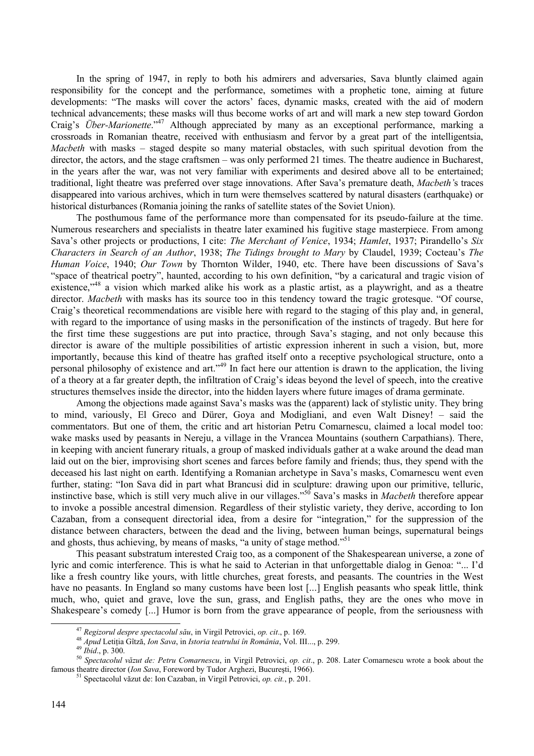In the spring of 1947, in reply to both his admirers and adversaries, Sava bluntly claimed again responsibility for the concept and the performance, sometimes with a prophetic tone, aiming at future developments: "The masks will cover the actors' faces, dynamic masks, created with the aid of modern technical advancements; these masks will thus become works of art and will mark a new step toward Gordon Craig's *Über-Marionette*."47 Although appreciated by many as an exceptional performance, marking a crossroads in Romanian theatre, received with enthusiasm and fervor by a great part of the intelligentsia, *Macbeth* with masks – staged despite so many material obstacles, with such spiritual devotion from the director, the actors, and the stage craftsmen – was only performed 21 times. The theatre audience in Bucharest, in the years after the war, was not very familiar with experiments and desired above all to be entertained; traditional, light theatre was preferred over stage innovations. After Sava's premature death, *Macbeth'*s traces disappeared into various archives, which in turn were themselves scattered by natural disasters (earthquake) or historical disturbances (Romania joining the ranks of satellite states of the Soviet Union).

The posthumous fame of the performance more than compensated for its pseudo-failure at the time. Numerous researchers and specialists in theatre later examined his fugitive stage masterpiece. From among Sava's other projects or productions, I cite: *The Merchant of Venice*, 1934; *Hamlet*, 1937; Pirandello's *Six Characters in Search of an Author*, 1938; *The Tidings brought to Mary* by Claudel, 1939; Cocteau's *The Human Voice*, 1940; *Our Town* by Thornton Wilder, 1940, etc. There have been discussions of Sava's "space of theatrical poetry", haunted, according to his own definition, "by a caricatural and tragic vision of existence,<sup> $348$ </sup> a vision which marked alike his work as a plastic artist, as a playwright, and as a theatre director. *Macbeth* with masks has its source too in this tendency toward the tragic grotesque. "Of course, Craig's theoretical recommendations are visible here with regard to the staging of this play and, in general, with regard to the importance of using masks in the personification of the instincts of tragedy. But here for the first time these suggestions are put into practice, through Sava's staging, and not only because this director is aware of the multiple possibilities of artistic expression inherent in such a vision, but, more importantly, because this kind of theatre has grafted itself onto a receptive psychological structure, onto a personal philosophy of existence and art."49 In fact here our attention is drawn to the application, the living of a theory at a far greater depth, the infiltration of Craig's ideas beyond the level of speech, into the creative structures themselves inside the director, into the hidden layers where future images of drama germinate.

Among the objections made against Sava's masks was the (apparent) lack of stylistic unity. They bring to mind, variously, El Greco and Dürer, Goya and Modigliani, and even Walt Disney! – said the commentators. But one of them, the critic and art historian Petru Comarnescu, claimed a local model too: wake masks used by peasants in Nereju, a village in the Vrancea Mountains (southern Carpathians). There, in keeping with ancient funerary rituals, a group of masked individuals gather at a wake around the dead man laid out on the bier, improvising short scenes and farces before family and friends; thus, they spend with the deceased his last night on earth. Identifying a Romanian archetype in Sava's masks, Comarnescu went even further, stating: "Ion Sava did in part what Brancusi did in sculpture: drawing upon our primitive, telluric, instinctive base, which is still very much alive in our villages."50 Sava's masks in *Macbeth* therefore appear to invoke a possible ancestral dimension. Regardless of their stylistic variety, they derive, according to Ion Cazaban, from a consequent directorial idea, from a desire for "integration," for the suppression of the distance between characters, between the dead and the living, between human beings, supernatural beings and ghosts, thus achieving, by means of masks, "a unity of stage method."<sup>51</sup>

This peasant substratum interested Craig too, as a component of the Shakespearean universe, a zone of lyric and comic interference. This is what he said to Acterian in that unforgettable dialog in Genoa: "... I'd like a fresh country like yours, with little churches, great forests, and peasants. The countries in the West have no peasants. In England so many customs have been lost [...] English peasants who speak little, think much, who, quiet and grave, love the sun, grass, and English paths, they are the ones who move in Shakespeare's comedy [...] Humor is born from the grave appearance of people, from the seriousness with

<sup>&</sup>lt;sup>47</sup> Regizorul despre spectacolul său, in Virgil Petrovici, op. cit., p. 169.<br><sup>48</sup> Apud Letiția Gîtză, Ion Sava, in Istoria teatrului în România, Vol. III..., p. 299.<br><sup>49</sup> Ibid., p. 300.<br><sup>50</sup> Spectacolul văzut de: Petru C famous theatre director (*Ion Sava*, Foreword by Tudor Arghezi, Bucureşti, 1966). 51 Spectacolul văzut de: Ion Cazaban, in Virgil Petrovici, *op. cit.*, p. 201.